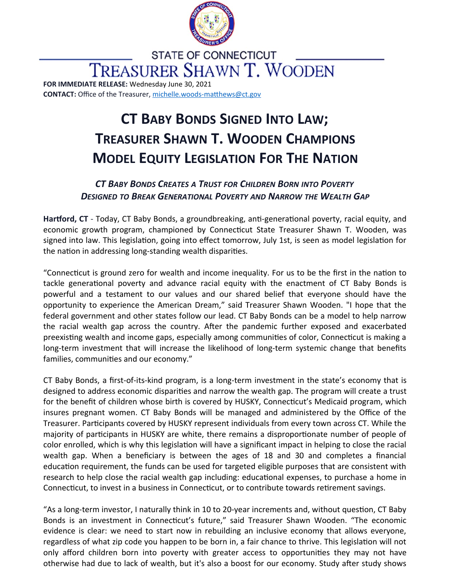

**STATE OF CONNECTICUT TREASURER SHAWN T. WOODEN FOR IMMEDIATE RELEASE:** Wednesday June 30, 2021

**CONTACT:** Office of the Treasurer, [michelle.woods-matthews@ct.gov](mailto:michelle.woods-matthews@ct.gov)

## **CT BABY BONDS SIGNED INTO LAW; TREASURER SHAWN T. WOODEN CHAMPIONS MODEL EQUITY LEGISLATION FOR THE NATION**

## *CT BABY BONDS CREATES A TRUST FOR CHILDREN BORN INTO POVERTY DESIGNED TO BREAK GENERATIONAL POVERTY AND NARROW THE WEALTH GAP*

**Hartford, CT** - Today, CT Baby Bonds, a groundbreaking, anti-generational poverty, racial equity, and economic growth program, championed by Connecticut State Treasurer Shawn T. Wooden, was signed into law. This legislation, going into effect tomorrow, July 1st, is seen as model legislation for the nation in addressing long-standing wealth disparities.

"Connecticut is ground zero for wealth and income inequality. For us to be the first in the nation to tackle generational poverty and advance racial equity with the enactment of CT Baby Bonds is powerful and a testament to our values and our shared belief that everyone should have the opportunity to experience the American Dream," said Treasurer Shawn Wooden. "I hope that the federal government and other states follow our lead. CT Baby Bonds can be a model to help narrow the racial wealth gap across the country. After the pandemic further exposed and exacerbated preexisting wealth and income gaps, especially among communities of color, Connecticut is making a long-term investment that will increase the likelihood of long-term systemic change that benefits families, communities and our economy."

CT Baby Bonds, a first-of-its-kind program, is a long-term investment in the state's economy that is designed to address economic disparities and narrow the wealth gap. The program will create a trust for the benefit of children whose birth is covered by HUSKY, Connecticut's Medicaid program, which insures pregnant women. CT Baby Bonds will be managed and administered by the Office of the Treasurer. Participants covered by HUSKY represent individuals from every town across CT. While the majority of participants in HUSKY are white, there remains a disproportionate number of people of color enrolled, which is why this legislation will have a significant impact in helping to close the racial wealth gap. When a beneficiary is between the ages of 18 and 30 and completes a financial education requirement, the funds can be used for targeted eligible purposes that are consistent with research to help close the racial wealth gap including: educational expenses, to purchase a home in Connecticut, to invest in a business in Connecticut, or to contribute towards retirement savings.

"As a long-term investor, I naturally think in 10 to 20-year increments and, without question, CT Baby Bonds is an investment in Connecticut's future," said Treasurer Shawn Wooden. "The economic evidence is clear: we need to start now in rebuilding an inclusive economy that allows everyone, regardless of what zip code you happen to be born in, a fair chance to thrive. This legislation will not only afford children born into poverty with greater access to opportunities they may not have otherwise had due to lack of wealth, but it's also a boost for our economy. Study after study shows